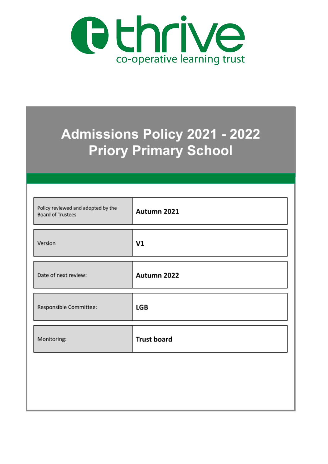

# **Admissions Policy 2021 - 2022 Priory Primary School**

| Policy reviewed and adopted by the<br><b>Board of Trustees</b> | Autumn 2021        |
|----------------------------------------------------------------|--------------------|
| Version                                                        | V1                 |
| Date of next review:                                           | Autumn 2022        |
| Responsible Committee:                                         | LGB                |
| Monitoring:                                                    | <b>Trust board</b> |
|                                                                |                    |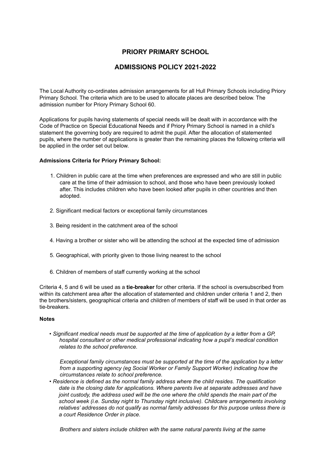## **PRIORY PRIMARY SCHOOL**

## **ADMISSIONS POLICY 2021-2022**

The Local Authority co-ordinates admission arrangements for all Hull Primary Schools including Priory Primary School. The criteria which are to be used to allocate places are described below. The admission number for Priory Primary School 60.

Applications for pupils having statements of special needs will be dealt with in accordance with the Code of Practice on Special Educational Needs and if Priory Primary School is named in a child's statement the governing body are required to admit the pupil. After the allocation of statemented pupils, where the number of applications is greater than the remaining places the following criteria will be applied in the order set out below.

#### **Admissions Criteria for Priory Primary School:**

- 1. Children in public care at the time when preferences are expressed and who are still in public care at the time of their admission to school, and those who have been previously looked after. This includes children who have been looked after pupils in other countries and then adopted.
- 2. Significant medical factors or exceptional family circumstances
- 3. Being resident in the catchment area of the school
- 4. Having a brother or sister who will be attending the school at the expected time of admission
- 5. Geographical, with priority given to those living nearest to the school
- 6. Children of members of staff currently working at the school

Criteria 4, 5 and 6 will be used as a **tie-breaker** for other criteria. If the school is oversubscribed from within its catchment area after the allocation of statemented and children under criteria 1 and 2, then the brothers/sisters, geographical criteria and children of members of staff will be used in that order as tie-breakers.

#### **Notes**

• *Significant medical needs must be supported at the time of application by a letter from a GP, hospital consultant or other medical professional indicating how a pupil's medical condition relates to the school preference.*

*Exceptional family circumstances must be supported at the time of the application by a letter from a supporting agency (eg Social Worker or Family Support Worker) indicating how the circumstances relate to school preference.*

• *Residence is defined as the normal family address where the child resides. The qualification date is the closing date for applications. Where parents live at separate addresses and have joint custody, the address used will be the one where the child spends the main part of the school week (i.e. Sunday night to Thursday night inclusive). Childcare arrangements involving relatives' addresses do not qualify as normal family addresses for this purpose unless there is a court Residence Order in place.*

*Brothers and sisters include children with the same natural parents living at the same*